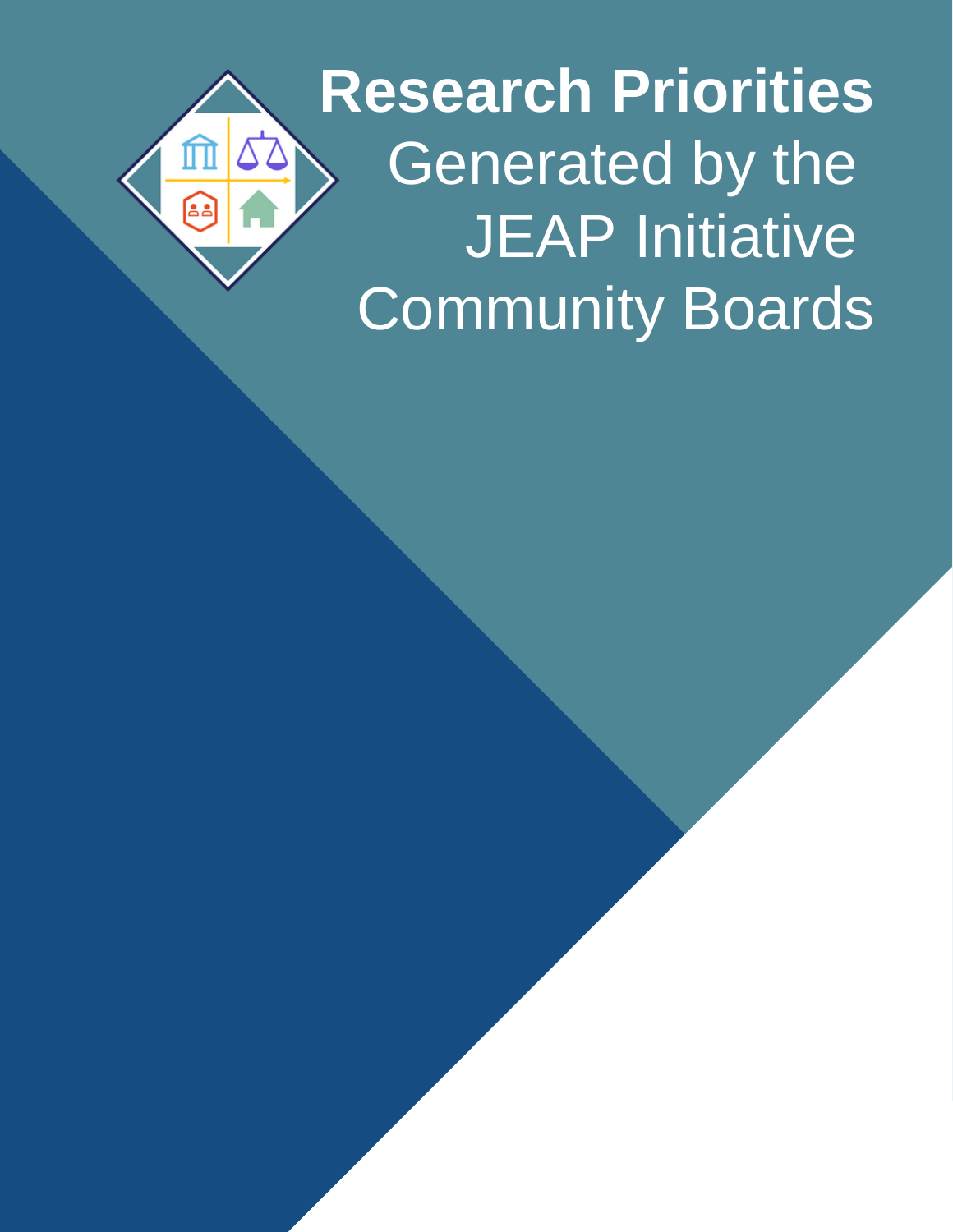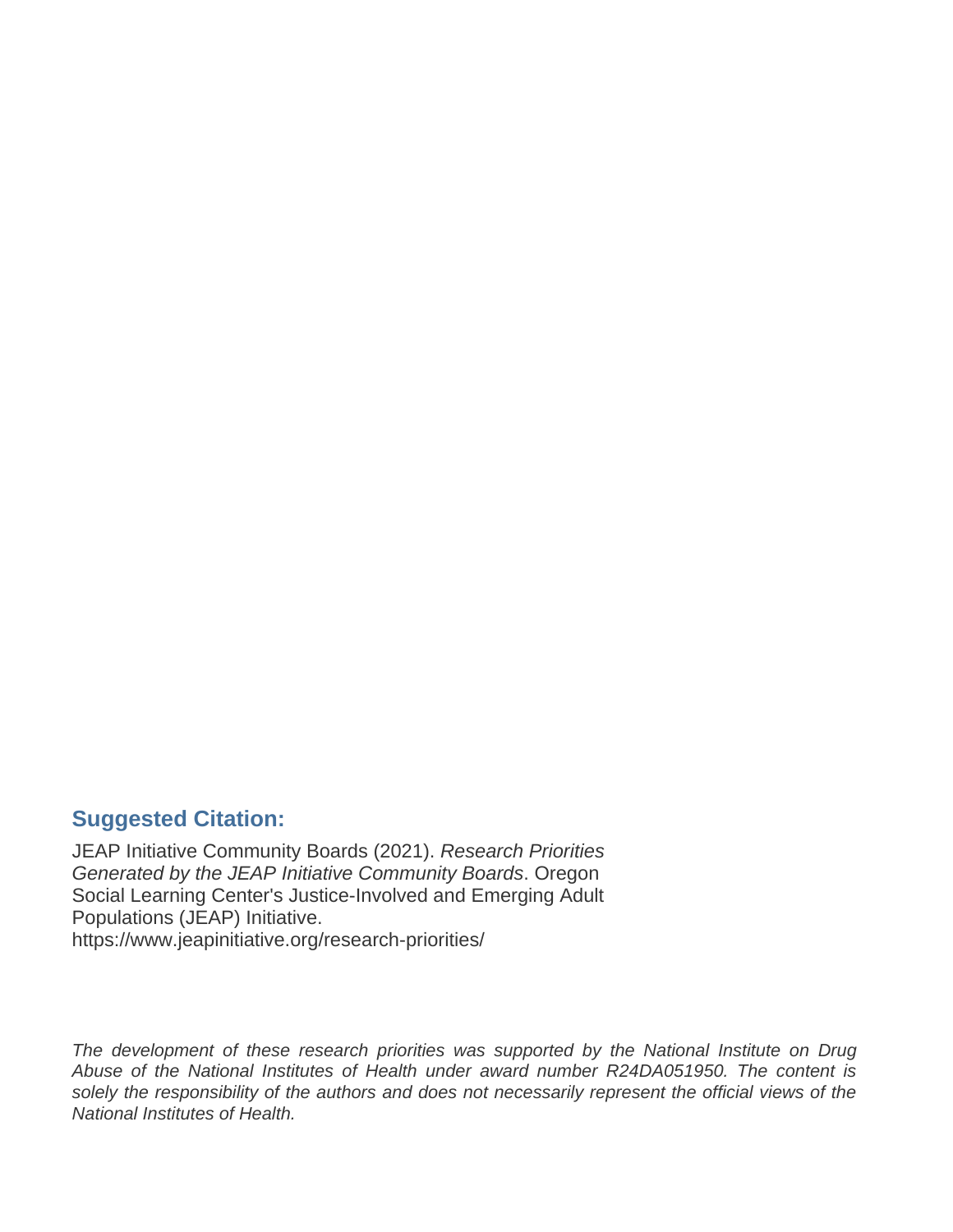#### **Suggested Citation:**

JEAP Initiative Community Boards (2021). *Research Priorities Generated by the JEAP Initiative Community Boards*. Oregon Social Learning Center's Justice-Involved and Emerging Adult Populations (JEAP) Initiative. <https://www.jeapinitiative.org/research-priorities/>

*The development of these research priorities was supported by the National Institute on Drug Abuse of the National Institutes of Health under award number R24DA051950. The content is solely the responsibility of the authors and does not necessarily represent the official views of the National Institutes of Health.*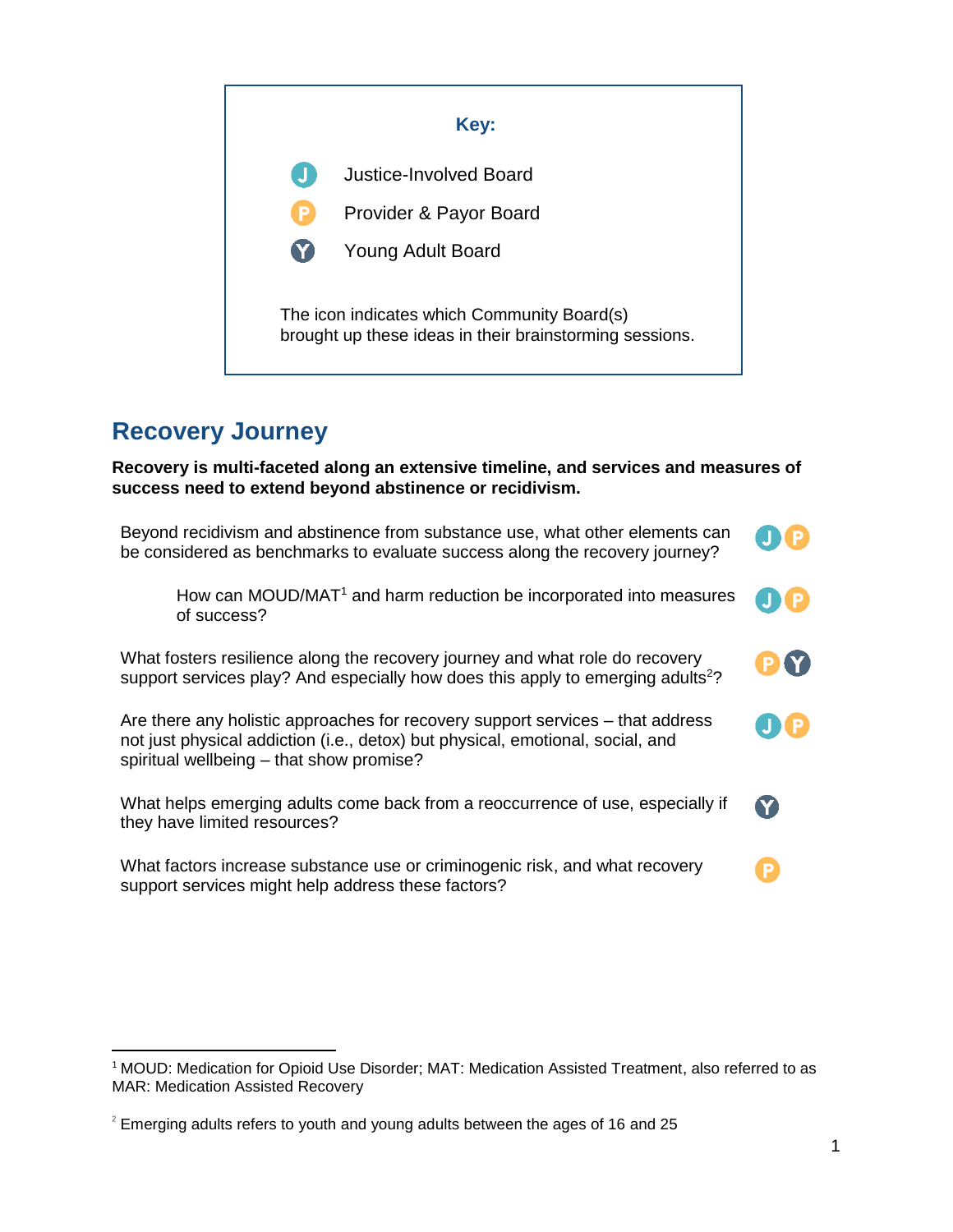

### **Recovery Journey**

l

**Recovery is multi-faceted along an extensive timeline, and services and measures of success need to extend beyond abstinence or recidivism.**



<sup>1</sup> MOUD: Medication for Opioid Use Disorder; MAT: Medication Assisted Treatment, also referred to as MAR: Medication Assisted Recovery

 $2$  Emerging adults refers to youth and young adults between the ages of 16 and 25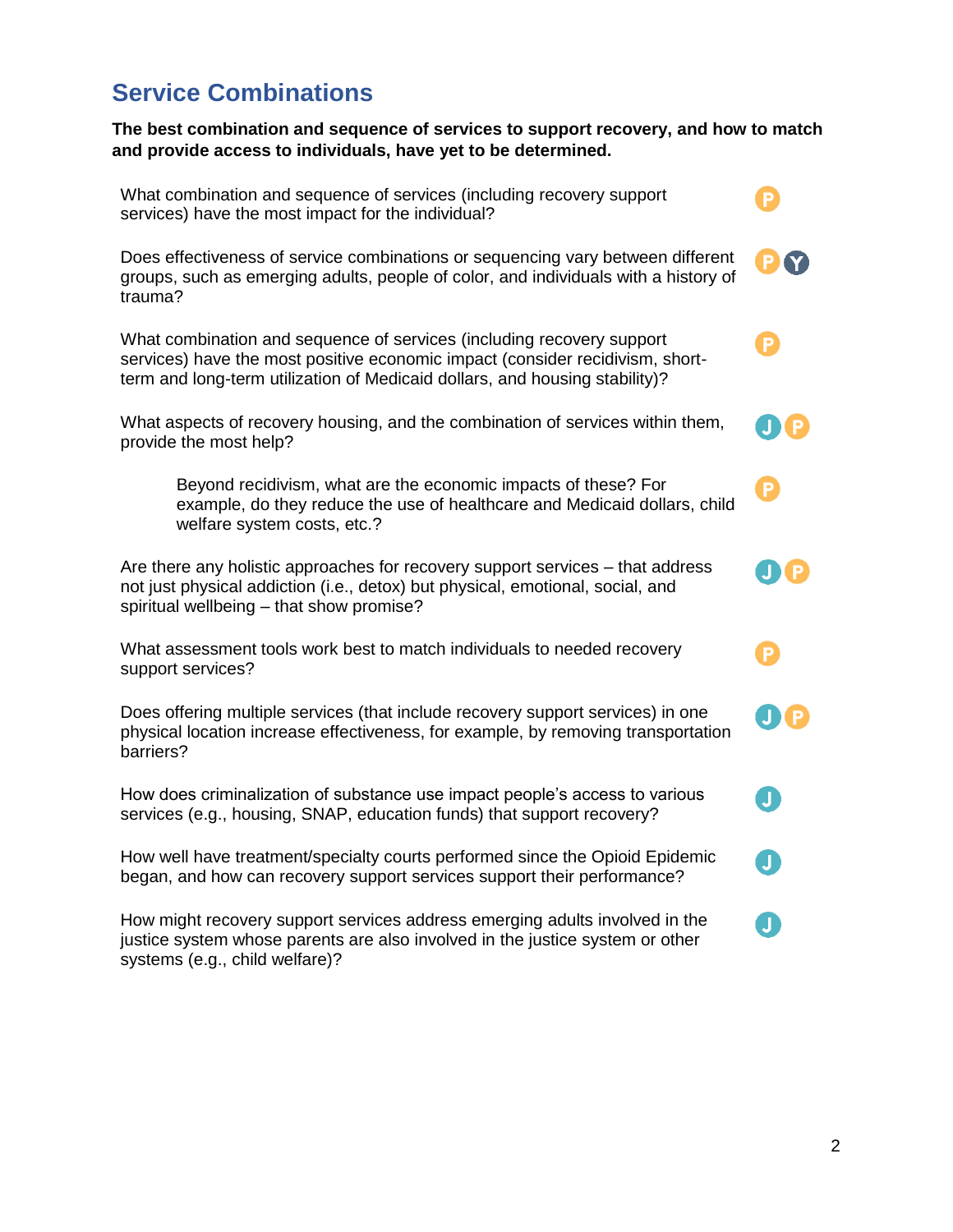### **Service Combinations**

provide the most help?

**The best combination and sequence of services to support recovery, and how to match and provide access to individuals, have yet to be determined.**

What combination and sequence of services (including recovery support services) have the most impact for the individual?

Does effectiveness of service combinations or sequencing vary between different groups, such as emerging adults, people of color, and individuals with a history of trauma?

What combination and sequence of services (including recovery support services) have the most positive economic impact (consider recidivism, shortterm and long-term utilization of Medicaid dollars, and housing stability)?

| What aspects of recovery housing, and the combination of services within them, |  |
|--------------------------------------------------------------------------------|--|
| provide the most help?                                                         |  |

Beyond recidivism, what are the economic impacts of these? For example, do they reduce the use of healthcare and Medicaid dollars, child welfare system costs, etc.?

Are there any holistic approaches for recovery support services – that address not just physical addiction (i.e., detox) but physical, emotional, social, and spiritual wellbeing – that show promise?

What assessment tools work best to match individuals to needed recovery support services?

Does offering multiple services (that include recovery support services) in one physical location increase effectiveness, for example, by removing transportation barriers?

How does criminalization of substance use impact people's access to various services (e.g., housing, SNAP, education funds) that support recovery?

How well have treatment/specialty courts performed since the Opioid Epidemic began, and how can recovery support services support their performance?

How might recovery support services address emerging adults involved in the justice system whose parents are also involved in the justice system or other systems (e.g., child welfare)?







Л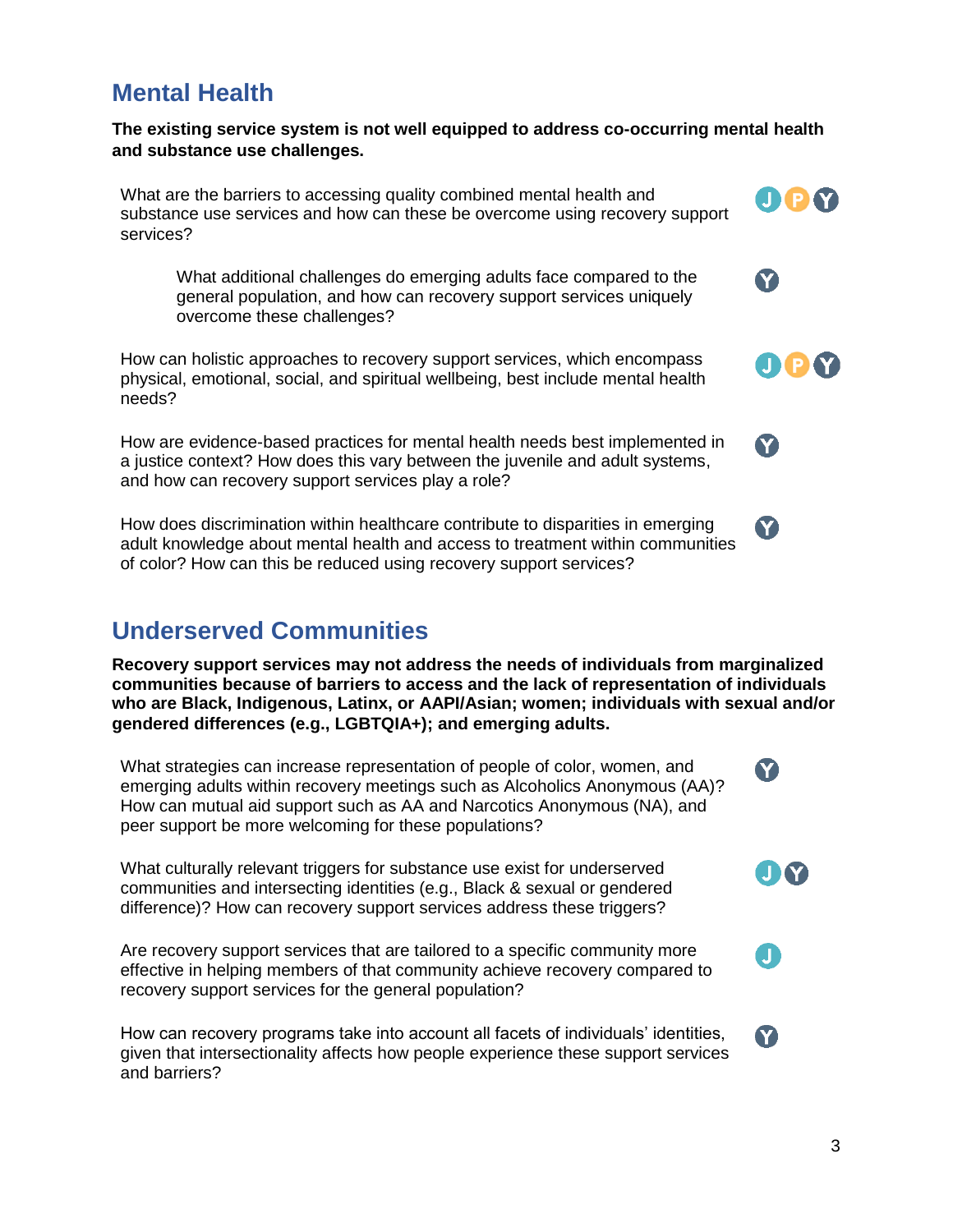#### **Mental Health**

**The existing service system is not well equipped to address co-occurring mental health and substance use challenges.**

What are the barriers to accessing quality combined mental health and substance use services and how can these be overcome using recovery support services?

What additional challenges do emerging adults face compared to the general population, and how can recovery support services uniquely overcome these challenges?

How can holistic approaches to recovery support services, which encompass physical, emotional, social, and spiritual wellbeing, best include mental health needs?

How are evidence-based practices for mental health needs best implemented in a justice context? How does this vary between the juvenile and adult systems, and how can recovery support services play a role?

How does discrimination within healthcare contribute to disparities in emerging adult knowledge about mental health and access to treatment within communities of color? How can this be reduced using recovery support services?

### **Underserved Communities**

**Recovery support services may not address the needs of individuals from marginalized communities because of barriers to access and the lack of representation of individuals who are Black, Indigenous, Latinx, or AAPI/Asian; women; individuals with sexual and/or gendered differences (e.g., LGBTQIA+); and emerging adults.**

What strategies can increase representation of people of color, women, and emerging adults within recovery meetings such as Alcoholics Anonymous (AA)? How can mutual aid support such as AA and Narcotics Anonymous (NA), and peer support be more welcoming for these populations?

What culturally relevant triggers for substance use exist for underserved communities and intersecting identities (e.g., Black & sexual or gendered difference)? How can recovery support services address these triggers?

Are recovery support services that are tailored to a specific community more effective in helping members of that community achieve recovery compared to recovery support services for the general population?

How can recovery programs take into account all facets of individuals' identities, given that intersectionality affects how people experience these support services and barriers?

0 Q M

OPY

Y

**Y** 

**Y** 

8

J Y

П

8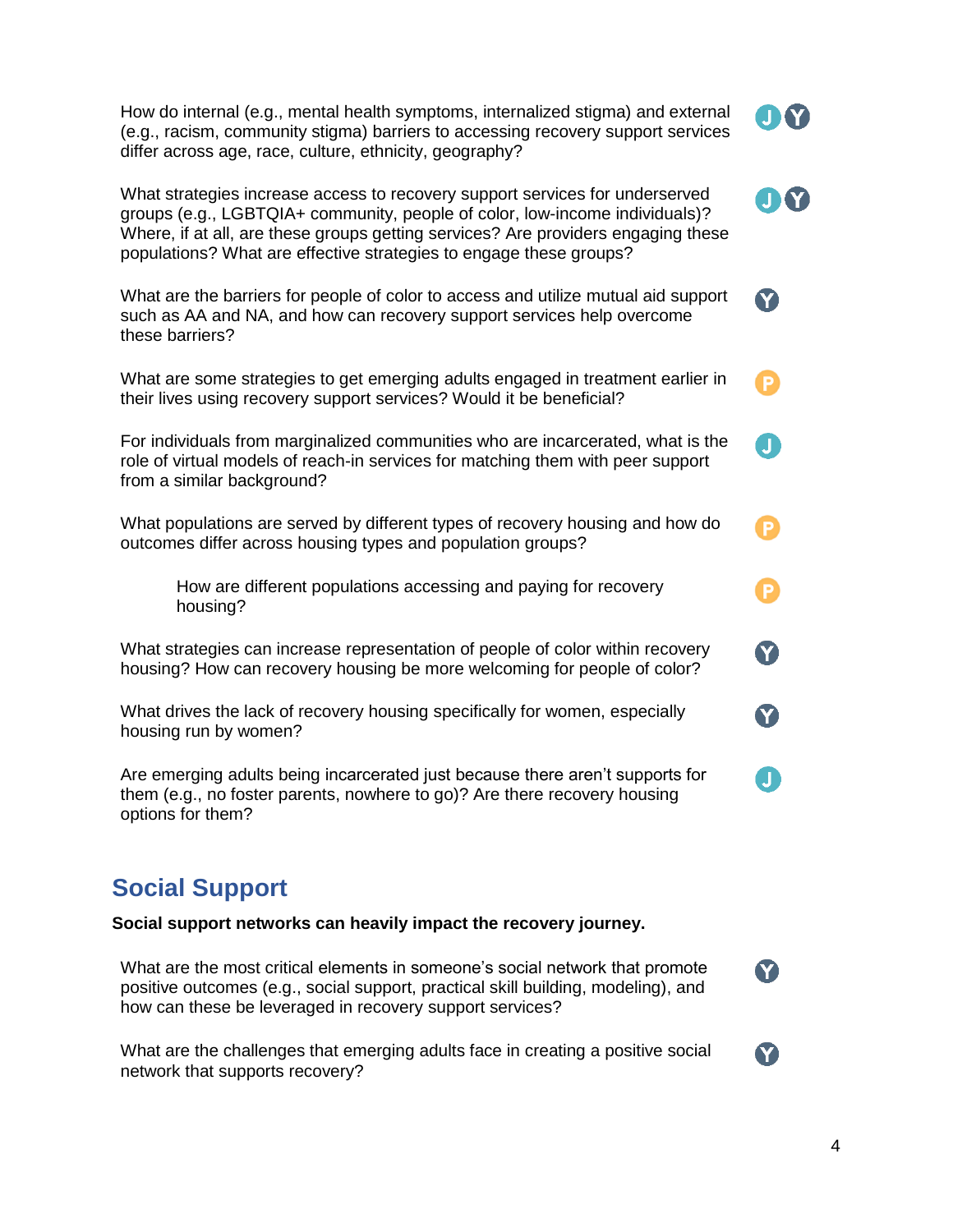| How do internal (e.g., mental health symptoms, internalized stigma) and external<br>(e.g., racism, community stigma) barriers to accessing recovery support services<br>differ across age, race, culture, ethnicity, geography?                                                                                        |             |
|------------------------------------------------------------------------------------------------------------------------------------------------------------------------------------------------------------------------------------------------------------------------------------------------------------------------|-------------|
| What strategies increase access to recovery support services for underserved<br>groups (e.g., LGBTQIA+ community, people of color, low-income individuals)?<br>Where, if at all, are these groups getting services? Are providers engaging these<br>populations? What are effective strategies to engage these groups? |             |
| What are the barriers for people of color to access and utilize mutual aid support<br>such as AA and NA, and how can recovery support services help overcome<br>these barriers?                                                                                                                                        | Y           |
| What are some strategies to get emerging adults engaged in treatment earlier in<br>their lives using recovery support services? Would it be beneficial?                                                                                                                                                                | D           |
| For individuals from marginalized communities who are incarcerated, what is the<br>role of virtual models of reach-in services for matching them with peer support<br>from a similar background?                                                                                                                       | J           |
| What populations are served by different types of recovery housing and how do<br>outcomes differ across housing types and population groups?                                                                                                                                                                           | D           |
| How are different populations accessing and paying for recovery<br>housing?                                                                                                                                                                                                                                            | 0           |
| What strategies can increase representation of people of color within recovery<br>housing? How can recovery housing be more welcoming for people of color?                                                                                                                                                             | $\mathbf 6$ |
| What drives the lack of recovery housing specifically for women, especially<br>housing run by women?                                                                                                                                                                                                                   | Ø           |
| Are emerging adults being incarcerated just because there aren't supports for<br>them (e.g., no foster parents, nowhere to go)? Are there recovery housing<br>options for them?                                                                                                                                        | 0           |
|                                                                                                                                                                                                                                                                                                                        |             |

# **Social Support**

**Social support networks can heavily impact the recovery journey.**

What are the most critical elements in someone's social network that promote positive outcomes (e.g., social support, practical skill building, modeling), and how can these be leveraged in recovery support services?

What are the challenges that emerging adults face in creating a positive social network that supports recovery?

8

**Y**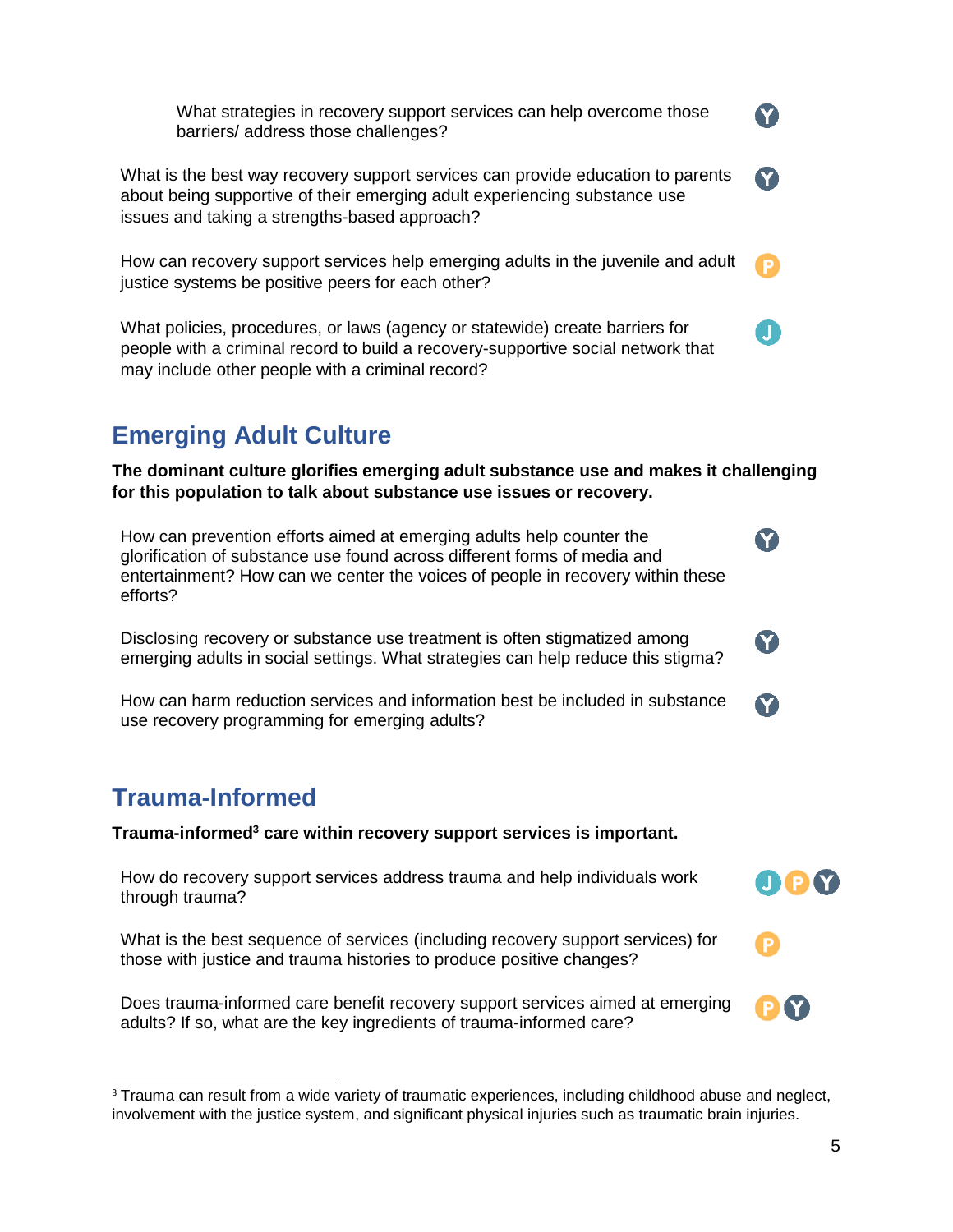What strategies in recovery support services can help overcome those barriers/ address those challenges?

What is the best way recovery support services can provide education to parents about being supportive of their emerging adult experiencing substance use issues and taking a strengths-based approach?

How can recovery support services help emerging adults in the juvenile and adult justice systems be positive peers for each other?

What policies, procedures, or laws (agency or statewide) create barriers for people with a criminal record to build a recovery-supportive social network that may include other people with a criminal record?

# **Emerging Adult Culture**

**The dominant culture glorifies emerging adult substance use and makes it challenging for this population to talk about substance use issues or recovery.**

How can prevention efforts aimed at emerging adults help counter the glorification of substance use found across different forms of media and entertainment? How can we center the voices of people in recovery within these efforts?

Disclosing recovery or substance use treatment is often stigmatized among emerging adults in social settings. What strategies can help reduce this stigma?

How can harm reduction services and information best be included in substance use recovery programming for emerging adults?

# **Trauma-Informed**

**Trauma-informed<sup>3</sup> care within recovery support services is important.**

How do recovery support services address trauma and help individuals work through trauma?

What is the best sequence of services (including recovery support services) for those with justice and trauma histories to produce positive changes?

Does trauma-informed care benefit recovery support services aimed at emerging adults? If so, what are the key ingredients of trauma-informed care?

Y

8

**Y** 

**Y** 

000

**P**<sup>?</sup>

 $\overline{\phantom{a}}$ <sup>3</sup> Trauma can result from a wide variety of traumatic experiences, including childhood abuse and neglect, involvement with the justice system, and significant physical injuries such as traumatic brain injuries.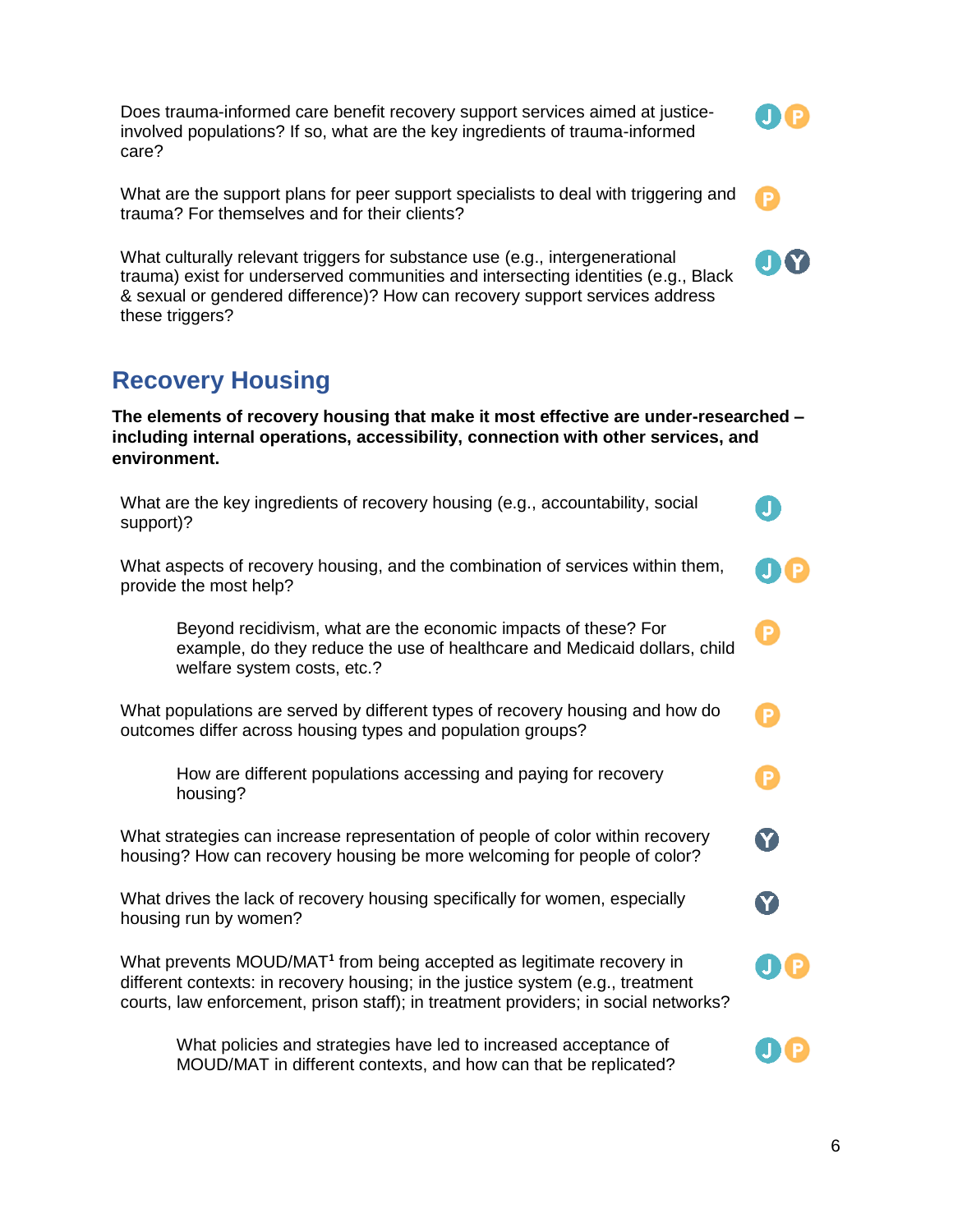Does trauma-informed care benefit recovery support services aimed at justiceinvolved populations? If so, what are the key ingredients of trauma-informed care?

What are the support plans for peer support specialists to deal with triggering and trauma? For themselves and for their clients?

What culturally relevant triggers for substance use (e.g., intergenerational trauma) exist for underserved communities and intersecting identities (e.g., Black & sexual or gendered difference)? How can recovery support services address these triggers?

## **Recovery Housing**

**The elements of recovery housing that make it most effective are under-researched – including internal operations, accessibility, connection with other services, and environment.**

| What are the key ingredients of recovery housing (e.g., accountability, social<br>support)?                                                                                                                                                                 |              |
|-------------------------------------------------------------------------------------------------------------------------------------------------------------------------------------------------------------------------------------------------------------|--------------|
| What aspects of recovery housing, and the combination of services within them,<br>provide the most help?                                                                                                                                                    |              |
| Beyond recidivism, what are the economic impacts of these? For<br>example, do they reduce the use of healthcare and Medicaid dollars, child<br>welfare system costs, etc.?                                                                                  | P            |
| What populations are served by different types of recovery housing and how do<br>outcomes differ across housing types and population groups?                                                                                                                | P            |
| How are different populations accessing and paying for recovery<br>housing?                                                                                                                                                                                 | P            |
| What strategies can increase representation of people of color within recovery<br>housing? How can recovery housing be more welcoming for people of color?                                                                                                  | Y            |
| What drives the lack of recovery housing specifically for women, especially<br>housing run by women?                                                                                                                                                        | $\mathbf{Y}$ |
| What prevents MOUD/MAT <sup>1</sup> from being accepted as legitimate recovery in<br>different contexts: in recovery housing; in the justice system (e.g., treatment<br>courts, law enforcement, prison staff); in treatment providers; in social networks? |              |
| What policies and strategies have led to increased acceptance of                                                                                                                                                                                            |              |

MOUD/MAT in different contexts, and how can that be replicated?

P)

UU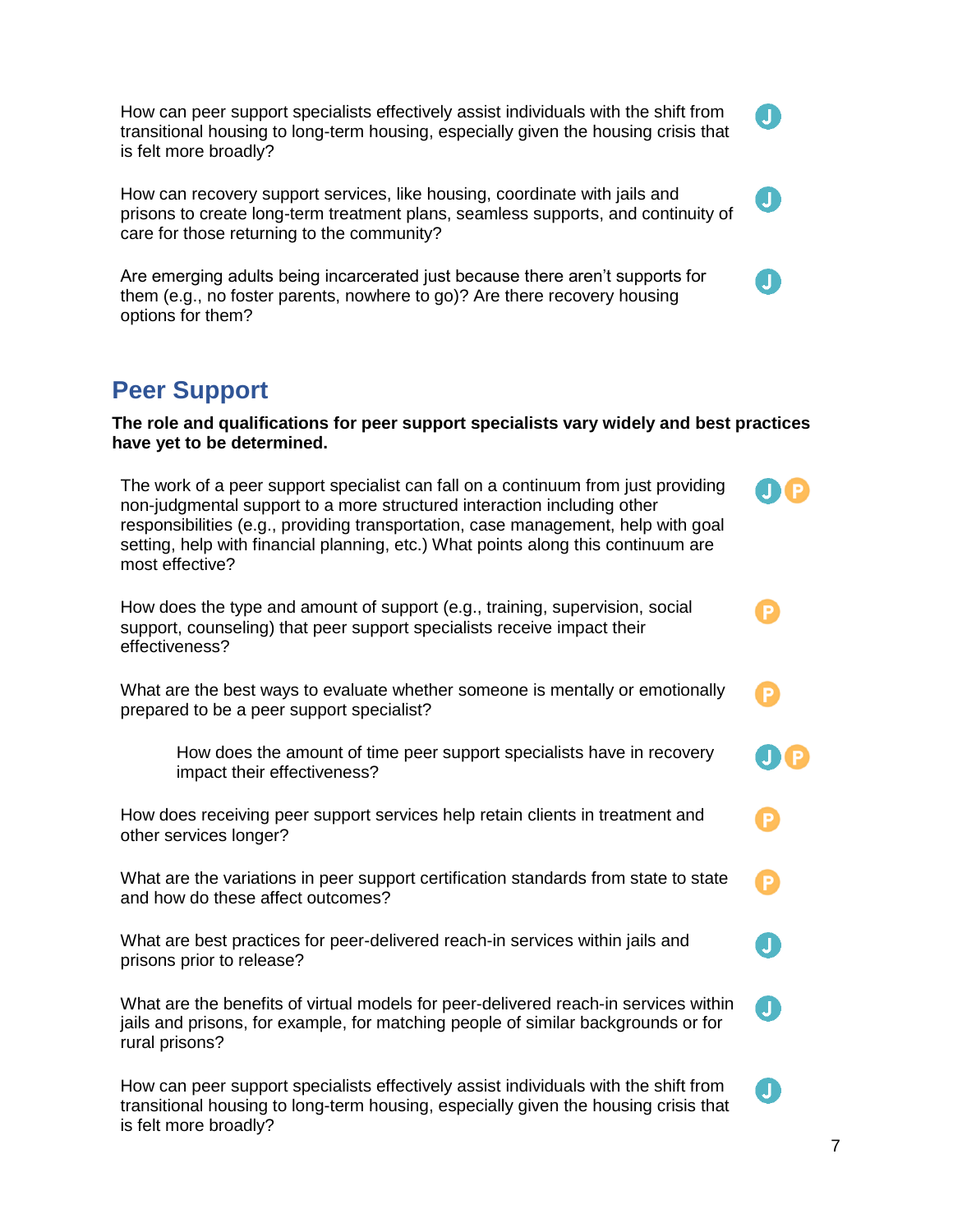How can peer support specialists effectively assist individuals with the shift from transitional housing to long-term housing, especially given the housing crisis that is felt more broadly?

How can recovery support services, like housing, coordinate with jails and prisons to create long-term treatment plans, seamless supports, and continuity of care for those returning to the community?

Are emerging adults being incarcerated just because there aren't supports for them (e.g., no foster parents, nowhere to go)? Are there recovery housing options for them?

## **Peer Support**

**The role and qualifications for peer support specialists vary widely and best practices have yet to be determined.**

The work of a peer support specialist can fall on a continuum from just providing non-judgmental support to a more structured interaction including other responsibilities (e.g., providing transportation, case management, help with goal setting, help with financial planning, etc.) What points along this continuum are most effective?

How does the type and amount of support (e.g., training, supervision, social support, counseling) that peer support specialists receive impact their effectiveness?

What are the best ways to evaluate whether someone is mentally or emotionally prepared to be a peer support specialist?

How does the amount of time peer support specialists have in recovery impact their effectiveness?

How does receiving peer support services help retain clients in treatment and other services longer?

What are the variations in peer support certification standards from state to state and how do these affect outcomes?

What are best practices for peer-delivered reach-in services within jails and prisons prior to release?

What are the benefits of virtual models for peer-delivered reach-in services within jails and prisons, for example, for matching people of similar backgrounds or for rural prisons?

How can peer support specialists effectively assist individuals with the shift from transitional housing to long-term housing, especially given the housing crisis that is felt more broadly?

 $\mathbf{J}$ 

 $\mathbf{J}$ 

**JIP** 

M

Æ

 $\mathbf{J}$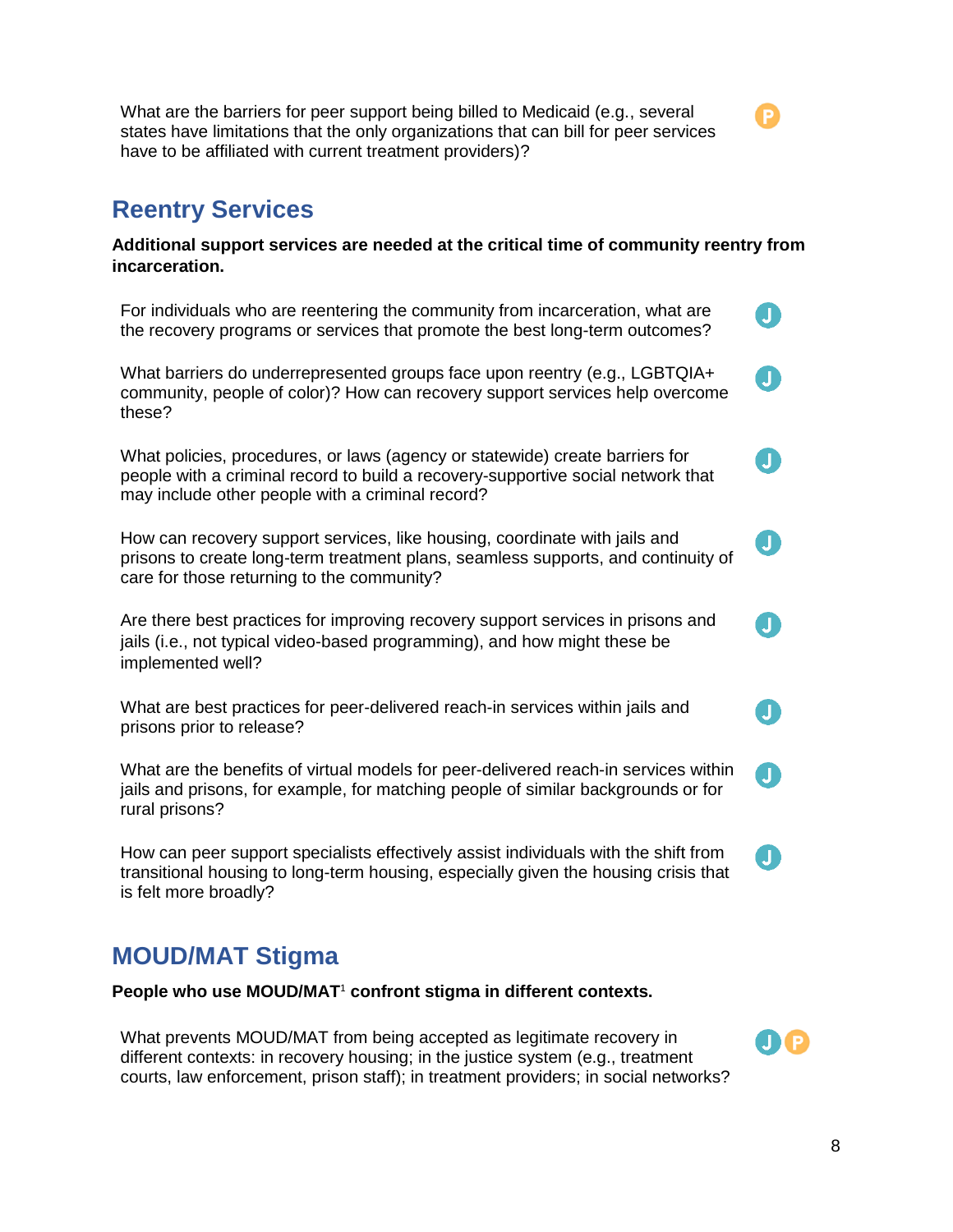What are the barriers for peer support being billed to Medicaid (e.g., several states have limitations that the only organizations that can bill for peer services have to be affiliated with current treatment providers)?

### **Reentry Services**

**Additional support services are needed at the critical time of community reentry from incarceration.**

For individuals who are reentering the community from incarceration, what are  $\mathbf{I}$ the recovery programs or services that promote the best long-term outcomes?  $\blacksquare$ 

What barriers do underrepresented groups face upon reentry (e.g., LGBTQIA+ community, people of color)? How can recovery support services help overcome these?

What policies, procedures, or laws (agency or statewide) create barriers for people with a criminal record to build a recovery-supportive social network that may include other people with a criminal record?

How can recovery support services, like housing, coordinate with jails and prisons to create long-term treatment plans, seamless supports, and continuity of care for those returning to the community?

Are there best practices for improving recovery support services in prisons and jails (i.e., not typical video-based programming), and how might these be implemented well?

What are best practices for peer-delivered reach-in services within jails and prisons prior to release?

What are the benefits of virtual models for peer-delivered reach-in services within jails and prisons, for example, for matching people of similar backgrounds or for rural prisons?

How can peer support specialists effectively assist individuals with the shift from transitional housing to long-term housing, especially given the housing crisis that is felt more broadly?

### **MOUD/MAT Stigma**

**People who use MOUD/MAT**<sup>1</sup> **confront stigma in different contexts.**

What prevents MOUD/MAT from being accepted as legitimate recovery in different contexts: in recovery housing; in the justice system (e.g., treatment courts, law enforcement, prison staff); in treatment providers; in social networks? J

n

 $\mathbf{J}$ 

 $\blacksquare$ 

 $\mathbf{J}$ 

O Q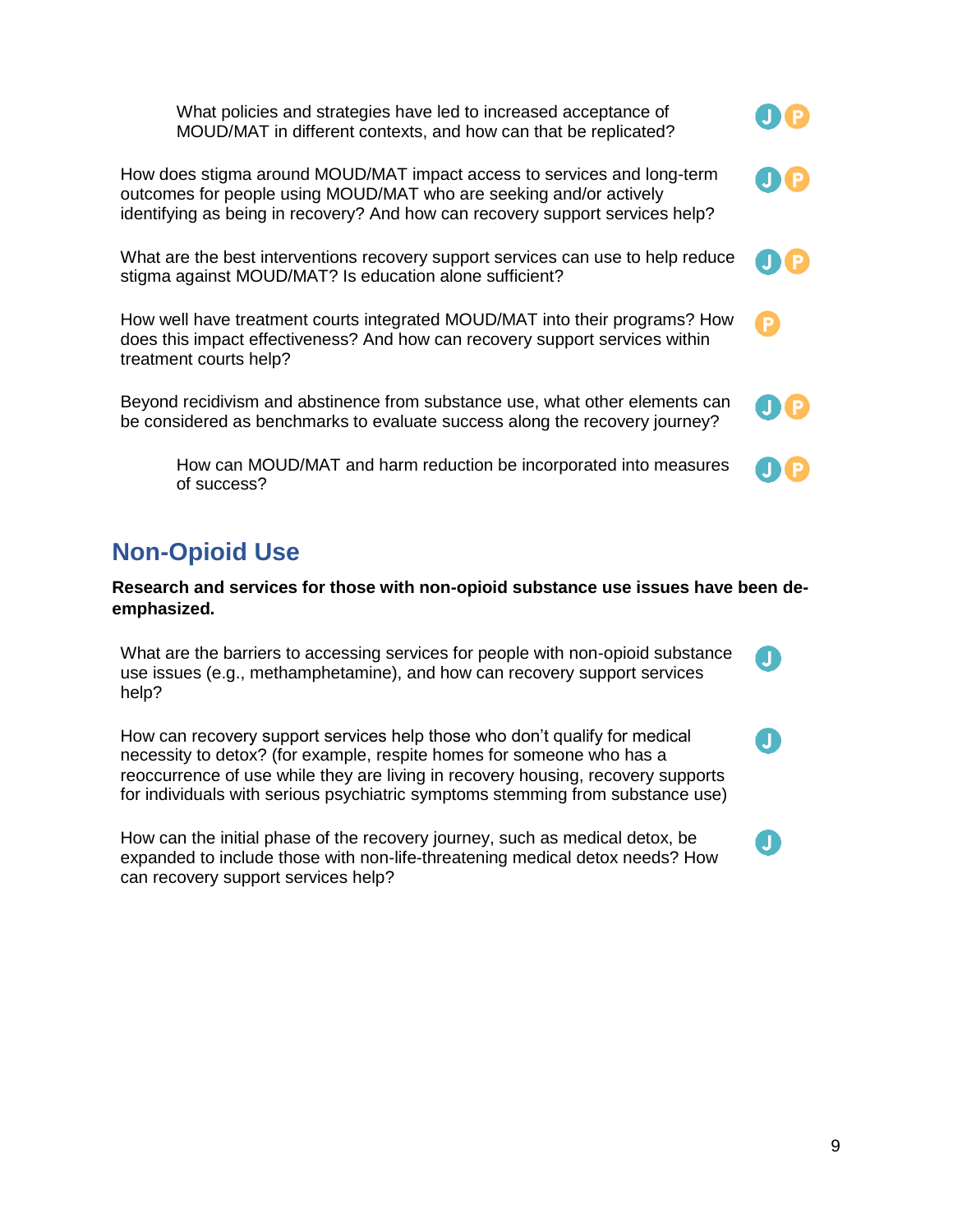What policies and strategies have led to increased acceptance of MOUD/MAT in different contexts, and how can that be replicated?

How does stigma around MOUD/MAT impact access to services and long-term outcomes for people using MOUD/MAT who are seeking and/or actively identifying as being in recovery? And how can recovery support services help?

What are the best interventions recovery support services can use to help reduce stigma against MOUD/MAT? Is education alone sufficient?

How well have treatment courts integrated MOUD/MAT into their programs? How does this impact effectiveness? And how can recovery support services within treatment courts help?

Beyond recidivism and abstinence from substance use, what other elements can be considered as benchmarks to evaluate success along the recovery journey?

How can MOUD/MAT and harm reduction be incorporated into measures of success?

# **Non-Opioid Use**

**Research and services for those with non-opioid substance use issues have been deemphasized.**

What are the barriers to accessing services for people with non-opioid substance use issues (e.g., methamphetamine), and how can recovery support services help?

How can recovery support services help those who don't qualify for medical necessity to detox? (for example, respite homes for someone who has a reoccurrence of use while they are living in recovery housing, recovery supports for individuals with serious psychiatric symptoms stemming from substance use)

How can the initial phase of the recovery journey, such as medical detox, be expanded to include those with non-life-threatening medical detox needs? How can recovery support services help?











 $\mathbf{J}$ 

 $\mathbf{I}$ 

 $\mathbf{I}$